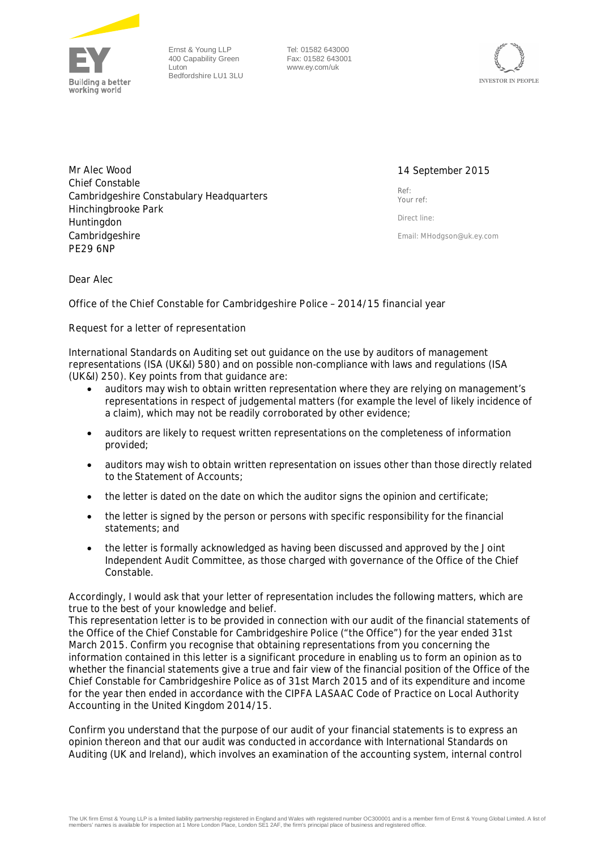

Ernst & Young LLP 400 Capability Green Luton Bedfordshire LU1 3LU

Tel: 01582 643000 Fax: 01582 643001 www.ey.com/uk



Mr Alec Wood Chief Constable Cambridgeshire Constabulary Headquarters Hinchingbrooke Park Huntingdon Cambridgeshire PE29 6NP

# 14 September 2015

Ref: Your ref:

Direct line:

Email: **MHodgson@uk.ey.com**

Dear Alec

**Office of the Chief Constable for Cambridgeshire Police – 2014/15 financial year**

## **Request for a letter of representation**

International Standards on Auditing set out guidance on the use by auditors of management representations (ISA (UK&I) 580) and on possible non-compliance with laws and regulations (ISA (UK&I) 250). Key points from that guidance are:

- auditors may wish to obtain written representation where they are relying on management's representations in respect of judgemental matters (for example the level of likely incidence of a claim), which may not be readily corroborated by other evidence;
- · auditors are likely to request written representations on the completeness of information provided;
- · auditors may wish to obtain written representation on issues other than those directly related to the Statement of Accounts;
- · the letter is dated on the date on which the auditor signs the opinion and certificate;
- the letter is signed by the person or persons with specific responsibility for the financial statements; and
- the letter is formally acknowledged as having been discussed and approved by the Joint Independent Audit Committee, as those charged with governance of the Office of the Chief Constable.

Accordingly, I would ask that your letter of representation includes the following matters, which are true to the best of your knowledge and belief.

This representation letter is to be provided in connection with our audit of the financial statements of the Office of the Chief Constable for Cambridgeshire Police ("the Office") for the year ended 31st March 2015. Confirm you recognise that obtaining representations from you concerning the information contained in this letter is a significant procedure in enabling us to form an opinion as to whether the financial statements give a true and fair view of the financial position of the Office of the Chief Constable for Cambridgeshire Police as of 31st March 2015 and of its expenditure and income for the year then ended in accordance with the CIPFA LASAAC Code of Practice on Local Authority Accounting in the United Kingdom 2014/15.

Confirm you understand that the purpose of our audit of your financial statements is to express an opinion thereon and that our audit was conducted in accordance with International Standards on Auditing (UK and Ireland), which involves an examination of the accounting system, internal control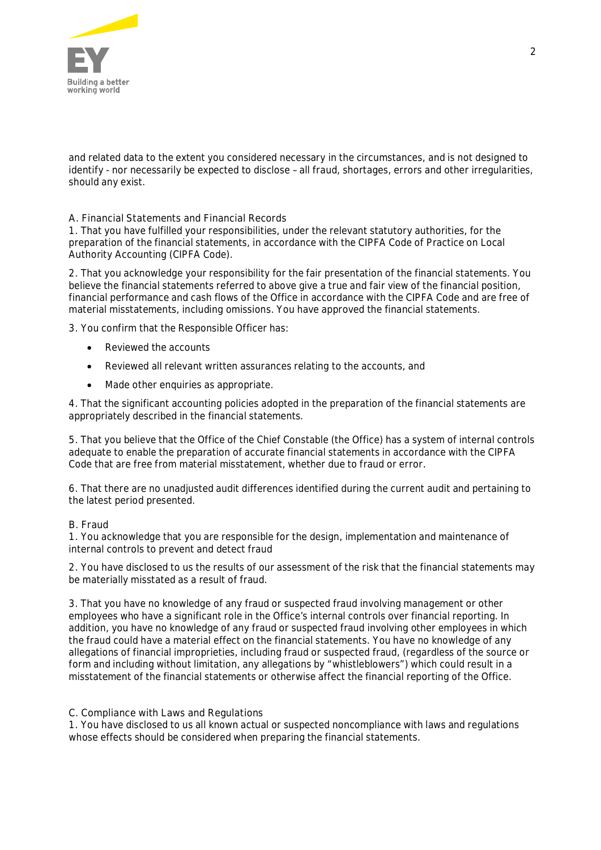

and related data to the extent you considered necessary in the circumstances, and is not designed to identify - nor necessarily be expected to disclose – all fraud, shortages, errors and other irregularities, should any exist.

**A. Financial Statements and Financial Records**

1. That you have fulfilled your responsibilities, under the relevant statutory authorities, for the preparation of the financial statements, in accordance with the CIPFA Code of Practice on Local Authority Accounting (CIPFA Code).

2. That you acknowledge your responsibility for the fair presentation of the financial statements. You believe the financial statements referred to above give a true and fair view of the financial position, financial performance and cash flows of the Office in accordance with the CIPFA Code and are free of material misstatements, including omissions. You have approved the financial statements.

3. You confirm that the Responsible Officer has:

- Reviewed the accounts
- · Reviewed all relevant written assurances relating to the accounts, and
- Made other enquiries as appropriate.

4. That the significant accounting policies adopted in the preparation of the financial statements are appropriately described in the financial statements.

5. That you believe that the Office of the Chief Constable (the Office) has a system of internal controls adequate to enable the preparation of accurate financial statements in accordance with the CIPFA Code that are free from material misstatement, whether due to fraud or error*.*

6. That there are no unadjusted audit differences identified during the current audit and pertaining to the latest period presented.

### **B. Fraud**

1. You acknowledge that you are responsible for the design, implementation and maintenance of internal controls to prevent and detect fraud

2. You have disclosed to us the results of our assessment of the risk that the financial statements may be materially misstated as a result of fraud.

3. That you have no knowledge of any fraud or suspected fraud involving management or other employees who have a significant role in the Office's internal controls over financial reporting. In addition, you have no knowledge of any fraud or suspected fraud involving other employees in which the fraud could have a material effect on the financial statements. You have no knowledge of any allegations of financial improprieties, including fraud or suspected fraud, (regardless of the source or form and including without limitation, any allegations by "whistleblowers") which could result in a misstatement of the financial statements or otherwise affect the financial reporting of the Office.

## **C. Compliance with Laws and Regulations**

1. You have disclosed to us all known actual or suspected noncompliance with laws and regulations whose effects should be considered when preparing the financial statements.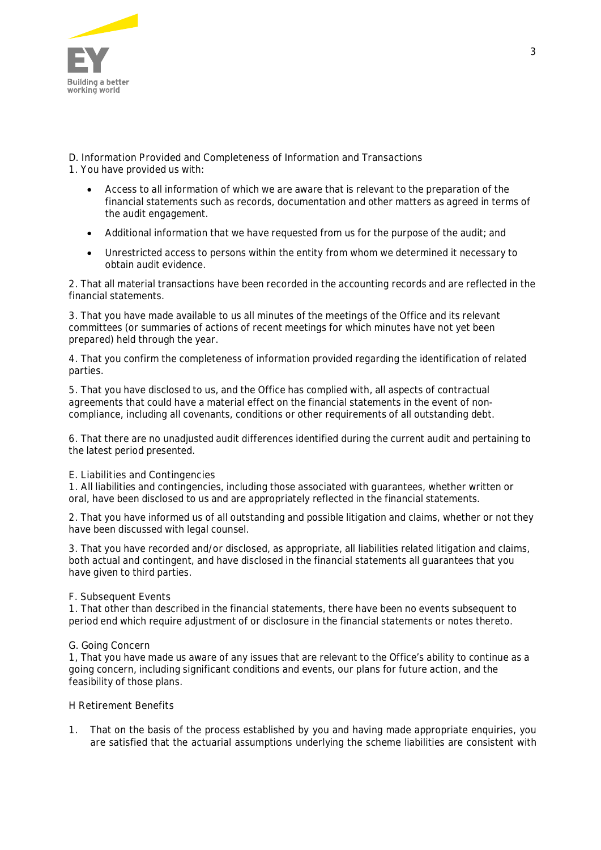

**D. Information Provided and Completeness of Information and Transactions** 1. You have provided us with:

- · Access to all information of which we are aware that is relevant to the preparation of the financial statements such as records, documentation and other matters as agreed in terms of the audit engagement.
- · Additional information that we have requested from us for the purpose of the audit; and
- · Unrestricted access to persons within the entity from whom we determined it necessary to obtain audit evidence.

2. That all material transactions have been recorded in the accounting records and are reflected in the financial statements.

3. That you have made available to us all minutes of the meetings of the Office and its relevant committees (or summaries of actions of recent meetings for which minutes have not yet been prepared) held through the year.

4. That you confirm the completeness of information provided regarding the identification of related parties.

5. That you have disclosed to us, and the Office has complied with, all aspects of contractual agreements that could have a material effect on the financial statements in the event of noncompliance, including all covenants, conditions or other requirements of all outstanding debt.

6. That there are no unadjusted audit differences identified during the current audit and pertaining to the latest period presented.

## **E. Liabilities and Contingencies**

1. All liabilities and contingencies, including those associated with guarantees, whether written or oral, have been disclosed to us and are appropriately reflected in the financial statements.

2. That you have informed us of all outstanding and possible litigation and claims, whether or not they have been discussed with legal counsel.

3. That you have recorded and/or disclosed, as appropriate, all liabilities related litigation and claims, both actual and contingent, and have disclosed in the financial statements all guarantees that you have given to third parties.

## **F. Subsequent Events**

1. That other than described in the financial statements, there have been no events subsequent to period end which require adjustment of or disclosure in the financial statements or notes thereto.

## **G. Going Concern**

1, That you have made us aware of any issues that are relevant to the Office's ability to continue as a going concern, including significant conditions and events, our plans for future action, and the feasibility of those plans.

**H Retirement Benefits**

1. That on the basis of the process established by you and having made appropriate enquiries, you are satisfied that the actuarial assumptions underlying the scheme liabilities are consistent with